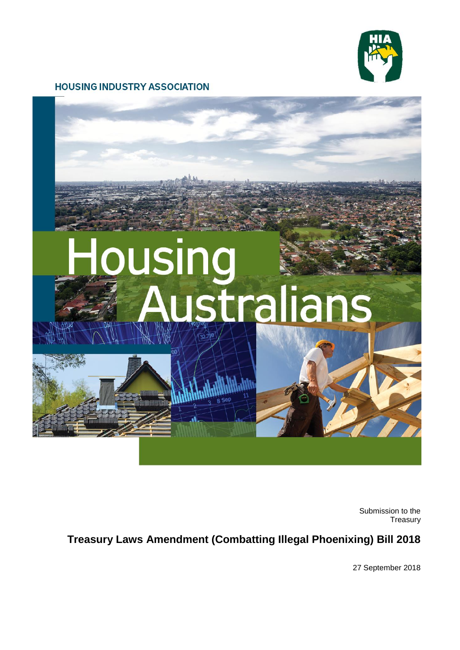

#### **HOUSING INDUSTRY ASSOCIATION**



Submission to the Treasury

# **Treasury Laws Amendment (Combatting Illegal Phoenixing) Bill 2018**

27 September 2018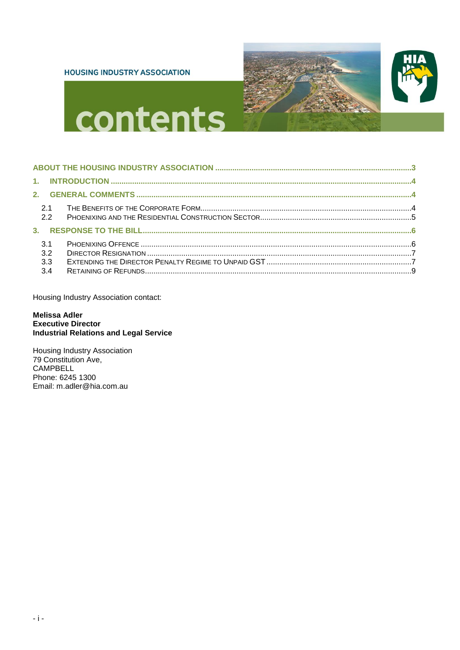#### **HOUSING INDUSTRY ASSOCIATION**





# contents

| 3.1<br>3.2 |  |
|------------|--|
| 3.3<br>3.4 |  |

Housing Industry Association contact:

#### **Melissa Adler Executive Director Industrial Relations and Legal Service**

Housing Industry Association<br>79 Constitution Ave, CAMPBELL Phone: 6245 1300 Email: m.adler@hia.com.au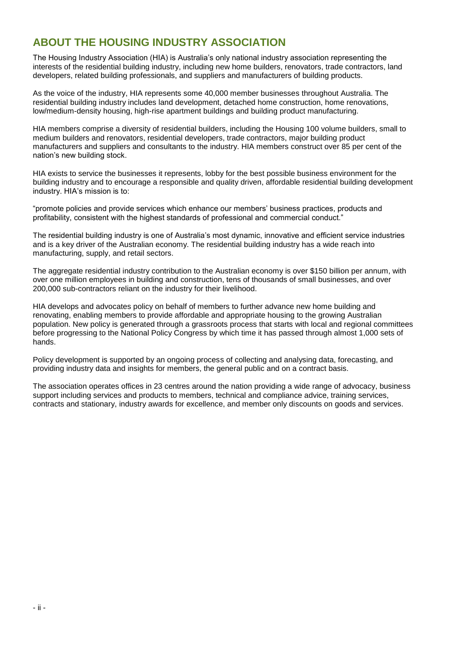# <span id="page-2-0"></span>**ABOUT THE HOUSING INDUSTRY ASSOCIATION**

The Housing Industry Association (HIA) is Australia's only national industry association representing the interests of the residential building industry, including new home builders, renovators, trade contractors, land developers, related building professionals, and suppliers and manufacturers of building products.

As the voice of the industry, HIA represents some 40,000 member businesses throughout Australia. The residential building industry includes land development, detached home construction, home renovations, low/medium-density housing, high-rise apartment buildings and building product manufacturing.

HIA members comprise a diversity of residential builders, including the Housing 100 volume builders, small to medium builders and renovators, residential developers, trade contractors, major building product manufacturers and suppliers and consultants to the industry. HIA members construct over 85 per cent of the nation's new building stock.

HIA exists to service the businesses it represents, lobby for the best possible business environment for the building industry and to encourage a responsible and quality driven, affordable residential building development industry. HIA's mission is to:

"promote policies and provide services which enhance our members' business practices, products and profitability, consistent with the highest standards of professional and commercial conduct."

The residential building industry is one of Australia's most dynamic, innovative and efficient service industries and is a key driver of the Australian economy. The residential building industry has a wide reach into manufacturing, supply, and retail sectors.

The aggregate residential industry contribution to the Australian economy is over \$150 billion per annum, with over one million employees in building and construction, tens of thousands of small businesses, and over 200,000 sub-contractors reliant on the industry for their livelihood.

HIA develops and advocates policy on behalf of members to further advance new home building and renovating, enabling members to provide affordable and appropriate housing to the growing Australian population. New policy is generated through a grassroots process that starts with local and regional committees before progressing to the National Policy Congress by which time it has passed through almost 1,000 sets of hands.

Policy development is supported by an ongoing process of collecting and analysing data, forecasting, and providing industry data and insights for members, the general public and on a contract basis.

The association operates offices in 23 centres around the nation providing a wide range of advocacy, business support including services and products to members, technical and compliance advice, training services, contracts and stationary, industry awards for excellence, and member only discounts on goods and services.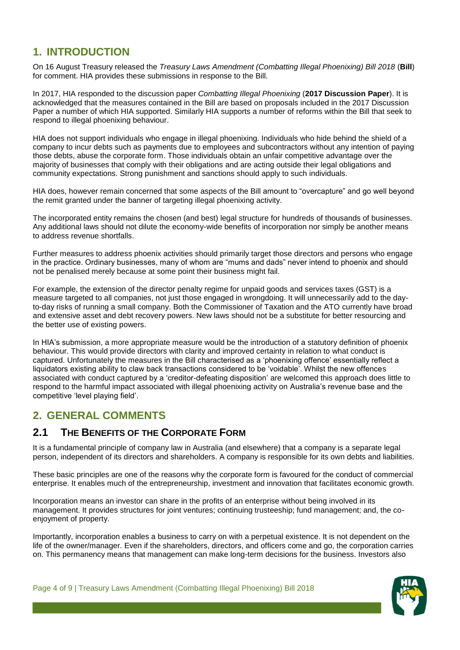# <span id="page-3-0"></span>**1. INTRODUCTION**

On 16 August Treasury released the *Treasury Laws Amendment (Combatting Illegal Phoenixing) Bill 2018* (**Bill**) for comment. HIA provides these submissions in response to the Bill.

In 2017, HIA responded to the discussion paper *Combatting Illegal Phoenixing* (**2017 Discussion Paper**). It is acknowledged that the measures contained in the Bill are based on proposals included in the 2017 Discussion Paper a number of which HIA supported. Similarly HIA supports a number of reforms within the Bill that seek to respond to illegal phoenixing behaviour.

HIA does not support individuals who engage in illegal phoenixing. Individuals who hide behind the shield of a company to incur debts such as payments due to employees and subcontractors without any intention of paying those debts, abuse the corporate form. Those individuals obtain an unfair competitive advantage over the majority of businesses that comply with their obligations and are acting outside their legal obligations and community expectations. Strong punishment and sanctions should apply to such individuals.

HIA does, however remain concerned that some aspects of the Bill amount to "overcapture" and go well beyond the remit granted under the banner of targeting illegal phoenixing activity.

The incorporated entity remains the chosen (and best) legal structure for hundreds of thousands of businesses. Any additional laws should not dilute the economy-wide benefits of incorporation nor simply be another means to address revenue shortfalls.

Further measures to address phoenix activities should primarily target those directors and persons who engage in the practice. Ordinary businesses, many of whom are "mums and dads" never intend to phoenix and should not be penalised merely because at some point their business might fail.

For example, the extension of the director penalty regime for unpaid goods and services taxes (GST) is a measure targeted to all companies, not just those engaged in wrongdoing. It will unnecessarily add to the dayto-day risks of running a small company. Both the Commissioner of Taxation and the ATO currently have broad and extensive asset and debt recovery powers. New laws should not be a substitute for better resourcing and the better use of existing powers.

In HIA's submission, a more appropriate measure would be the introduction of a statutory definition of phoenix behaviour. This would provide directors with clarity and improved certainty in relation to what conduct is captured. Unfortunately the measures in the Bill characterised as a 'phoenixing offence' essentially reflect a liquidators existing ability to claw back transactions considered to be 'voidable'. Whilst the new offences associated with conduct captured by a 'creditor-defeating disposition' are welcomed this approach does little to respond to the harmful impact associated with illegal phoenixing activity on Australia's revenue base and the competitive 'level playing field'.

# <span id="page-3-1"></span>**2. GENERAL COMMENTS**

# <span id="page-3-2"></span>**2.1 THE BENEFITS OF THE CORPORATE FORM**

It is a fundamental principle of company law in Australia (and elsewhere) that a company is a separate legal person, independent of its directors and shareholders. A company is responsible for its own debts and liabilities.

These basic principles are one of the reasons why the corporate form is favoured for the conduct of commercial enterprise. It enables much of the entrepreneurship, investment and innovation that facilitates economic growth.

Incorporation means an investor can share in the profits of an enterprise without being involved in its management. It provides structures for joint ventures; continuing trusteeship; fund management; and, the coenjoyment of property.

Importantly, incorporation enables a business to carry on with a perpetual existence. It is not dependent on the life of the owner/manager. Even if the shareholders, directors, and officers come and go, the corporation carries on. This permanency means that management can make long-term decisions for the business. Investors also

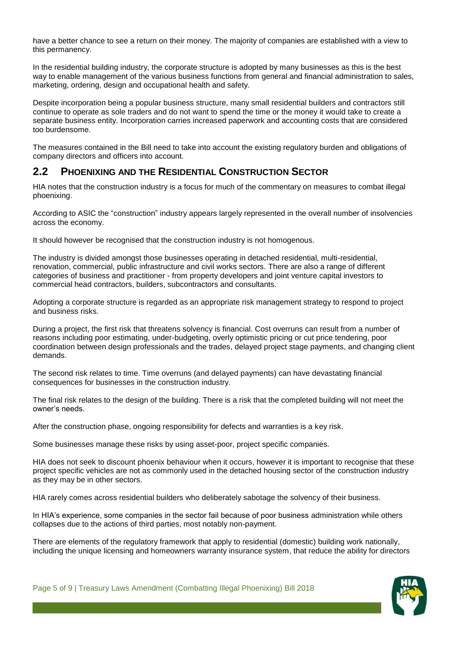have a better chance to see a return on their money. The majority of companies are established with a view to this permanency.

In the residential building industry, the corporate structure is adopted by many businesses as this is the best way to enable management of the various business functions from general and financial administration to sales, marketing, ordering, design and occupational health and safety.

Despite incorporation being a popular business structure, many small residential builders and contractors still continue to operate as sole traders and do not want to spend the time or the money it would take to create a separate business entity. Incorporation carries increased paperwork and accounting costs that are considered too burdensome.

The measures contained in the Bill need to take into account the existing regulatory burden and obligations of company directors and officers into account.

### <span id="page-4-0"></span>**2.2 PHOENIXING AND THE RESIDENTIAL CONSTRUCTION SECTOR**

HIA notes that the construction industry is a focus for much of the commentary on measures to combat illegal phoenixing.

According to ASIC the "construction" industry appears largely represented in the overall number of insolvencies across the economy.

It should however be recognised that the construction industry is not homogenous.

The industry is divided amongst those businesses operating in detached residential, multi-residential, renovation, commercial, public infrastructure and civil works sectors. There are also a range of different categories of business and practitioner - from property developers and joint venture capital investors to commercial head contractors, builders, subcontractors and consultants.

Adopting a corporate structure is regarded as an appropriate risk management strategy to respond to project and business risks.

During a project, the first risk that threatens solvency is financial. Cost overruns can result from a number of reasons including poor estimating, under-budgeting, overly optimistic pricing or cut price tendering, poor coordination between design professionals and the trades, delayed project stage payments, and changing client demands.

The second risk relates to time. Time overruns (and delayed payments) can have devastating financial consequences for businesses in the construction industry.

The final risk relates to the design of the building. There is a risk that the completed building will not meet the owner's needs.

After the construction phase, ongoing responsibility for defects and warranties is a key risk.

Some businesses manage these risks by using asset-poor, project specific companies.

HIA does not seek to discount phoenix behaviour when it occurs, however it is important to recognise that these project specific vehicles are not as commonly used in the detached housing sector of the construction industry as they may be in other sectors.

HIA rarely comes across residential builders who deliberately sabotage the solvency of their business.

In HIA's experience, some companies in the sector fail because of poor business administration while others collapses due to the actions of third parties, most notably non-payment.

There are elements of the regulatory framework that apply to residential (domestic) building work nationally, including the unique licensing and homeowners warranty insurance system, that reduce the ability for directors

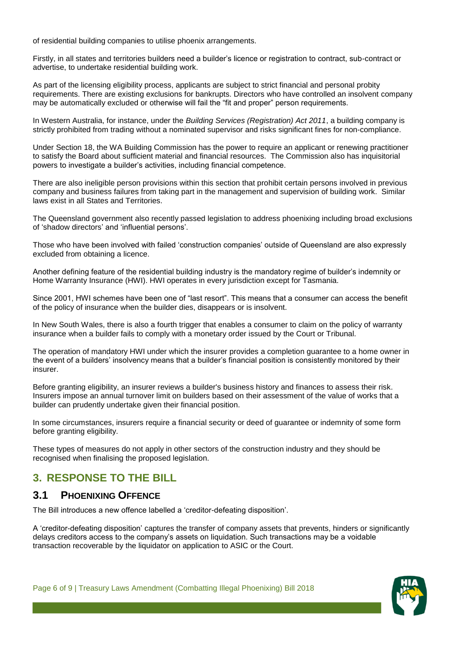of residential building companies to utilise phoenix arrangements.

Firstly, in all states and territories builders need a builder's licence or registration to contract, sub-contract or advertise, to undertake residential building work.

As part of the licensing eligibility process, applicants are subject to strict financial and personal probity requirements. There are existing exclusions for bankrupts. Directors who have controlled an insolvent company may be automatically excluded or otherwise will fail the "fit and proper" person requirements.

In Western Australia, for instance, under the *Building Services (Registration) Act 2011*, a building company is strictly prohibited from trading without a nominated supervisor and risks significant fines for non-compliance.

Under Section 18, the WA Building Commission has the power to require an applicant or renewing practitioner to satisfy the Board about sufficient material and financial resources. The Commission also has inquisitorial powers to investigate a builder's activities, including financial competence.

There are also ineligible person provisions within this section that prohibit certain persons involved in previous company and business failures from taking part in the management and supervision of building work. Similar laws exist in all States and Territories.

The Queensland government also recently passed legislation to address phoenixing including broad exclusions of 'shadow directors' and 'influential persons'.

Those who have been involved with failed 'construction companies' outside of Queensland are also expressly excluded from obtaining a licence.

Another defining feature of the residential building industry is the mandatory regime of builder's indemnity or Home Warranty Insurance (HWI). HWI operates in every jurisdiction except for Tasmania.

Since 2001, HWI schemes have been one of "last resort". This means that a consumer can access the benefit of the policy of insurance when the builder dies, disappears or is insolvent.

In New South Wales, there is also a fourth trigger that enables a consumer to claim on the policy of warranty insurance when a builder fails to comply with a monetary order issued by the Court or Tribunal.

The operation of mandatory HWI under which the insurer provides a completion guarantee to a home owner in the event of a builders' insolvency means that a builder's financial position is consistently monitored by their insurer.

Before granting eligibility, an insurer reviews a builder's business history and finances to assess their risk. Insurers impose an annual turnover limit on builders based on their assessment of the value of works that a builder can prudently undertake given their financial position.

In some circumstances, insurers require a financial security or deed of guarantee or indemnity of some form before granting eligibility.

These types of measures do not apply in other sectors of the construction industry and they should be recognised when finalising the proposed legislation.

# <span id="page-5-0"></span>**3. RESPONSE TO THE BILL**

### <span id="page-5-1"></span>**3.1 PHOENIXING OFFENCE**

The Bill introduces a new offence labelled a 'creditor-defeating disposition'.

A 'creditor-defeating disposition' captures the transfer of company assets that prevents, hinders or significantly delays creditors access to the company's assets on liquidation. Such transactions may be a voidable transaction recoverable by the liquidator on application to ASIC or the Court.

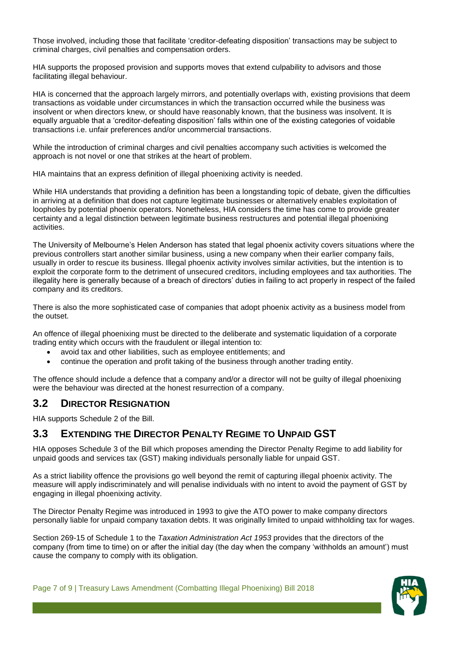Those involved, including those that facilitate 'creditor-defeating disposition' transactions may be subject to criminal charges, civil penalties and compensation orders.

HIA supports the proposed provision and supports moves that extend culpability to advisors and those facilitating illegal behaviour.

HIA is concerned that the approach largely mirrors, and potentially overlaps with, existing provisions that deem transactions as voidable under circumstances in which the transaction occurred while the business was insolvent or when directors knew, or should have reasonably known, that the business was insolvent. It is equally arguable that a 'creditor-defeating disposition' falls within one of the existing categories of voidable transactions i.e. unfair preferences and/or uncommercial transactions.

While the introduction of criminal charges and civil penalties accompany such activities is welcomed the approach is not novel or one that strikes at the heart of problem.

HIA maintains that an express definition of illegal phoenixing activity is needed.

While HIA understands that providing a definition has been a longstanding topic of debate, given the difficulties in arriving at a definition that does not capture legitimate businesses or alternatively enables exploitation of loopholes by potential phoenix operators. Nonetheless, HIA considers the time has come to provide greater certainty and a legal distinction between legitimate business restructures and potential illegal phoenixing activities.

The University of Melbourne's Helen Anderson has stated that legal phoenix activity covers situations where the previous controllers start another similar business, using a new company when their earlier company fails, usually in order to rescue its business. Illegal phoenix activity involves similar activities, but the intention is to exploit the corporate form to the detriment of unsecured creditors, including employees and tax authorities. The illegality here is generally because of a breach of directors' duties in failing to act properly in respect of the failed company and its creditors.

There is also the more sophisticated case of companies that adopt phoenix activity as a business model from the outset.

An offence of illegal phoenixing must be directed to the deliberate and systematic liquidation of a corporate trading entity which occurs with the fraudulent or illegal intention to:

- avoid tax and other liabilities, such as employee entitlements; and
- continue the operation and profit taking of the business through another trading entity.

The offence should include a defence that a company and/or a director will not be guilty of illegal phoenixing were the behaviour was directed at the honest resurrection of a company.

### <span id="page-6-0"></span>**3.2 DIRECTOR RESIGNATION**

HIA supports Schedule 2 of the Bill.

### <span id="page-6-1"></span>**3.3 EXTENDING THE DIRECTOR PENALTY REGIME TO UNPAID GST**

HIA opposes Schedule 3 of the Bill which proposes amending the Director Penalty Regime to add liability for unpaid goods and services tax (GST) making individuals personally liable for unpaid GST.

As a strict liability offence the provisions go well beyond the remit of capturing illegal phoenix activity. The measure will apply indiscriminately and will penalise individuals with no intent to avoid the payment of GST by engaging in illegal phoenixing activity.

The Director Penalty Regime was introduced in 1993 to give the ATO power to make company directors personally liable for unpaid company taxation debts. It was originally limited to unpaid withholding tax for wages.

Section 269-15 of Schedule 1 to the *Taxation Administration Act 1953* provides that the directors of the company (from time to time) on or after the initial day (the day when the company 'withholds an amount') must cause the company to comply with its obligation.

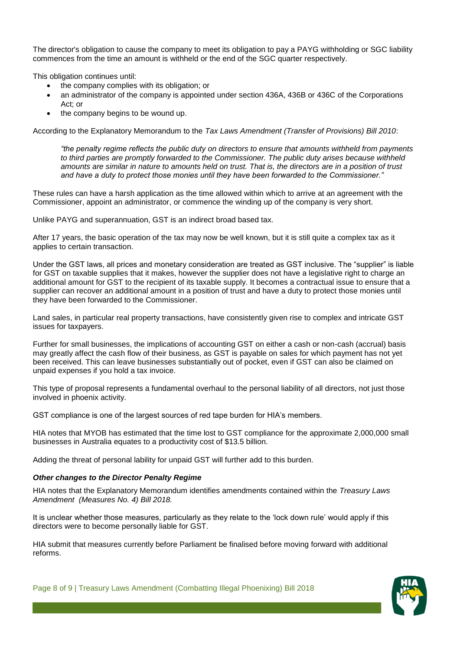The director's obligation to cause the company to meet its obligation to pay a PAYG withholding or SGC liability commences from the time an amount is withheld or the end of the SGC quarter respectively.

This obligation continues until:

- the company complies with its obligation; or
- an administrator of the company is appointed under section 436A, 436B or 436C of the Corporations Act; or
- the company begins to be wound up.

According to the Explanatory Memorandum to the *Tax Laws Amendment (Transfer of Provisions) Bill 2010*:

*"the penalty regime reflects the public duty on directors to ensure that amounts withheld from payments to third parties are promptly forwarded to the Commissioner. The public duty arises because withheld amounts are similar in nature to amounts held on trust. That is, the directors are in a position of trust and have a duty to protect those monies until they have been forwarded to the Commissioner."*

These rules can have a harsh application as the time allowed within which to arrive at an agreement with the Commissioner, appoint an administrator, or commence the winding up of the company is very short.

Unlike PAYG and superannuation, GST is an indirect broad based tax.

After 17 years, the basic operation of the tax may now be well known, but it is still quite a complex tax as it applies to certain transaction.

Under the GST laws, all prices and monetary consideration are treated as GST inclusive. The "supplier" is liable for GST on taxable supplies that it makes, however the supplier does not have a legislative right to charge an additional amount for GST to the recipient of its taxable supply. It becomes a contractual issue to ensure that a supplier can recover an additional amount in a position of trust and have a duty to protect those monies until they have been forwarded to the Commissioner.

Land sales, in particular real property transactions, have consistently given rise to complex and intricate GST issues for taxpayers.

Further for small businesses, the implications of accounting GST on either a cash or non-cash (accrual) basis may greatly affect the cash flow of their business, as GST is payable on sales for which payment has not yet been received. This can leave businesses substantially out of pocket, even if GST can also be claimed on unpaid expenses if you hold a tax invoice.

This type of proposal represents a fundamental overhaul to the personal liability of all directors, not just those involved in phoenix activity.

GST compliance is one of the largest sources of red tape burden for HIA's members.

HIA notes that MYOB has estimated that the time lost to GST compliance for the approximate 2,000,000 small businesses in Australia equates to a productivity cost of \$13.5 billion.

Adding the threat of personal lability for unpaid GST will further add to this burden.

#### *Other changes to the Director Penalty Regime*

HIA notes that the Explanatory Memorandum identifies amendments contained within the *Treasury Laws Amendment (Measures No. 4) Bill 2018.*

It is unclear whether those measures, particularly as they relate to the 'lock down rule' would apply if this directors were to become personally liable for GST.

HIA submit that measures currently before Parliament be finalised before moving forward with additional reforms.

Page 8 of 9 | Treasury Laws Amendment (Combatting Illegal Phoenixing) Bill 2018